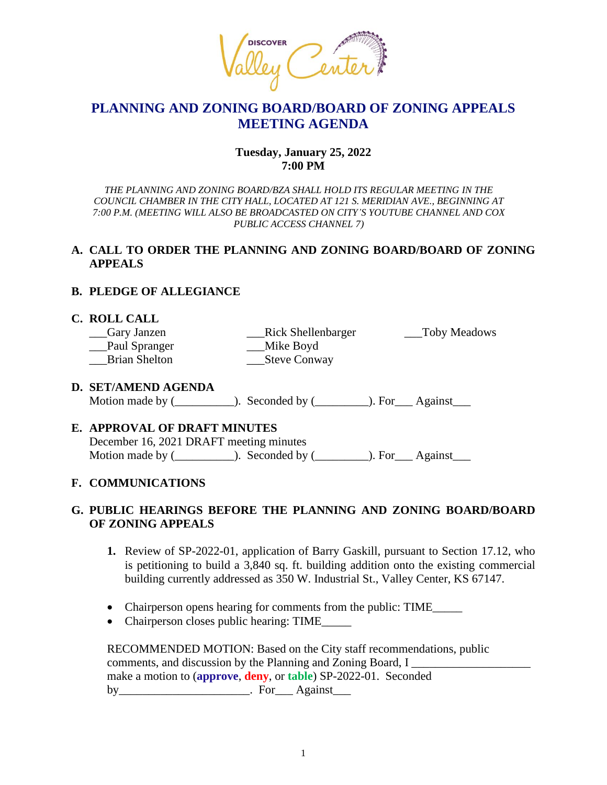

## **PLANNING AND ZONING BOARD/BOARD OF ZONING APPEALS MEETING AGENDA**

## **Tuesday, January 25, 2022 7:00 PM**

*THE PLANNING AND ZONING BOARD/BZA SHALL HOLD ITS REGULAR MEETING IN THE COUNCIL CHAMBER IN THE CITY HALL, LOCATED AT 121 S. MERIDIAN AVE., BEGINNING AT 7:00 P.M. (MEETING WILL ALSO BE BROADCASTED ON CITY'S YOUTUBE CHANNEL AND COX PUBLIC ACCESS CHANNEL 7)*

## **A. CALL TO ORDER THE PLANNING AND ZONING BOARD/BOARD OF ZONING APPEALS**

## **B. PLEDGE OF ALLEGIANCE**

## **C. ROLL CALL**

| __Gary Janzen        | <b>Rick Shellenbarger</b> | Toby Meadows |
|----------------------|---------------------------|--------------|
| __Paul Spranger      | Mike Boyd                 |              |
| <b>Brian Shelton</b> | Steve Conway              |              |

## **D. SET/AMEND AGENDA**

Motion made by  $($   $)$ . Seconded by  $($   $)$ . For Against

## **E. APPROVAL OF DRAFT MINUTES**

December 16, 2021 DRAFT meeting minutes Motion made by  $(\_\_\_\_\_)$ . Seconded by  $(\_\_\_\_\_)$ . For  $\_\_$ Against $\_\_\_\_$ 

## **F. COMMUNICATIONS**

## **G. PUBLIC HEARINGS BEFORE THE PLANNING AND ZONING BOARD/BOARD OF ZONING APPEALS**

- **1.** Review of SP-2022-01, application of Barry Gaskill, pursuant to Section 17.12, who is petitioning to build a 3,840 sq. ft. building addition onto the existing commercial building currently addressed as 350 W. Industrial St., Valley Center, KS 67147.
- Chairperson opens hearing for comments from the public: TIME\_\_\_\_\_\_
- Chairperson closes public hearing: TIME

RECOMMENDED MOTION: Based on the City staff recommendations, public comments, and discussion by the Planning and Zoning Board, I make a motion to (**approve**, **deny**, or **table**) SP-2022-01. Seconded by\_\_\_\_\_\_\_\_\_\_\_\_\_\_\_\_\_\_\_\_\_\_\_\_\_. For\_\_\_\_ Against\_\_\_\_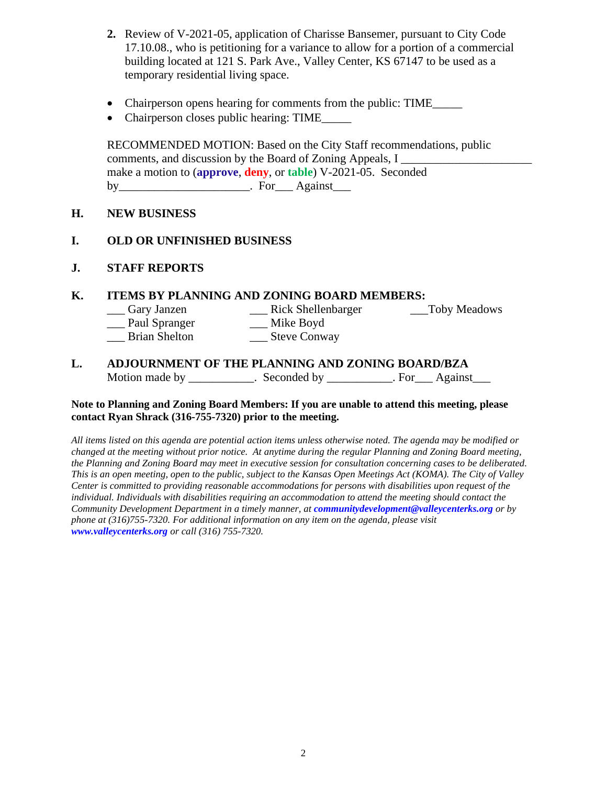- **2.** Review of V-2021-05, application of Charisse Bansemer, pursuant to City Code 17.10.08., who is petitioning for a variance to allow for a portion of a commercial building located at 121 S. Park Ave., Valley Center, KS 67147 to be used as a temporary residential living space.
- Chairperson opens hearing for comments from the public: TIME\_\_\_\_\_\_
- Chairperson closes public hearing: TIME

RECOMMENDED MOTION: Based on the City Staff recommendations, public comments, and discussion by the Board of Zoning Appeals, I make a motion to (**approve**, **deny**, or **table**) V-2021-05. Seconded by **Example 2** For Against

## **H. NEW BUSINESS**

## **I. OLD OR UNFINISHED BUSINESS**

**J. STAFF REPORTS**

## **K. ITEMS BY PLANNING AND ZONING BOARD MEMBERS:**

- \_\_\_ Gary Janzen \_\_\_ Rick Shellenbarger \_\_\_Toby Meadows
	- \_\_\_ Paul Spranger \_\_\_ Mike Boyd
	- \_\_\_ Brian Shelton \_\_\_ Steve Conway

#### **L. ADJOURNMENT OF THE PLANNING AND ZONING BOARD/BZA** Motion made by \_\_\_\_\_\_\_\_\_\_. Seconded by \_\_\_\_\_\_\_\_\_\_. For \_\_\_ Against \_\_\_\_\_.

#### **Note to Planning and Zoning Board Members: If you are unable to attend this meeting, please contact Ryan Shrack (316-755-7320) prior to the meeting.**

*All items listed on this agenda are potential action items unless otherwise noted. The agenda may be modified or changed at the meeting without prior notice. At anytime during the regular Planning and Zoning Board meeting, the Planning and Zoning Board may meet in executive session for consultation concerning cases to be deliberated. This is an open meeting, open to the public, subject to the Kansas Open Meetings Act (KOMA). The City of Valley Center is committed to providing reasonable accommodations for persons with disabilities upon request of the individual. Individuals with disabilities requiring an accommodation to attend the meeting should contact the Community Development Department in a timely manner, at communitydevelopment@valleycenterks.org or by phone at (316)755-7320. For additional information on any item on the agenda, please visit www.valleycenterks.org or call (316) 755-7320.*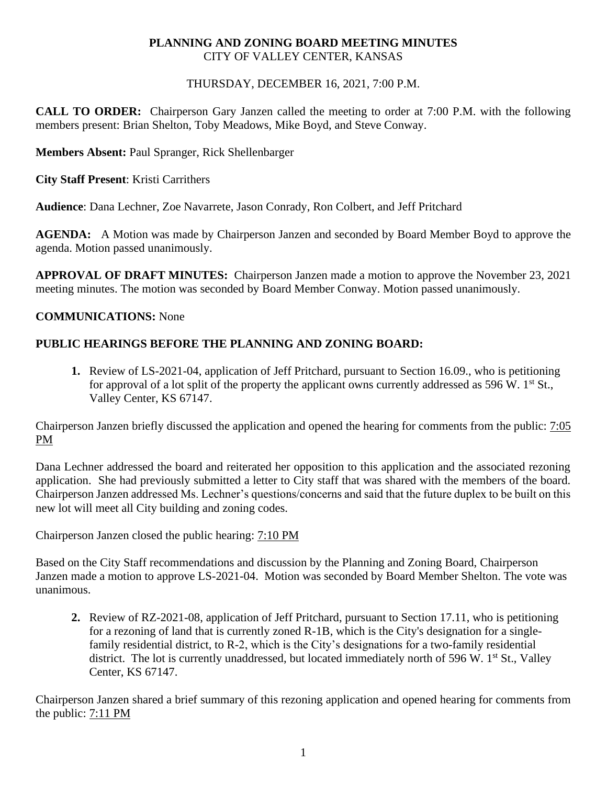## **PLANNING AND ZONING BOARD MEETING MINUTES** CITY OF VALLEY CENTER, KANSAS

## THURSDAY, DECEMBER 16, 2021, 7:00 P.M.

**CALL TO ORDER:** Chairperson Gary Janzen called the meeting to order at 7:00 P.M. with the following members present: Brian Shelton, Toby Meadows, Mike Boyd, and Steve Conway.

**Members Absent:** Paul Spranger, Rick Shellenbarger

**City Staff Present**: Kristi Carrithers

**Audience**: Dana Lechner, Zoe Navarrete, Jason Conrady, Ron Colbert, and Jeff Pritchard

**AGENDA:** A Motion was made by Chairperson Janzen and seconded by Board Member Boyd to approve the agenda. Motion passed unanimously.

**APPROVAL OF DRAFT MINUTES:** Chairperson Janzen made a motion to approve the November 23, 2021 meeting minutes. The motion was seconded by Board Member Conway. Motion passed unanimously.

## **COMMUNICATIONS:** None

## **PUBLIC HEARINGS BEFORE THE PLANNING AND ZONING BOARD:**

**1.** Review of LS-2021-04, application of Jeff Pritchard, pursuant to Section 16.09., who is petitioning for approval of a lot split of the property the applicant owns currently addressed as 596 W.  $1<sup>st</sup>$  St., Valley Center, KS 67147.

Chairperson Janzen briefly discussed the application and opened the hearing for comments from the public: 7:05 PM

Dana Lechner addressed the board and reiterated her opposition to this application and the associated rezoning application. She had previously submitted a letter to City staff that was shared with the members of the board. Chairperson Janzen addressed Ms. Lechner's questions/concerns and said that the future duplex to be built on this new lot will meet all City building and zoning codes.

Chairperson Janzen closed the public hearing: 7:10 PM

Based on the City Staff recommendations and discussion by the Planning and Zoning Board, Chairperson Janzen made a motion to approve LS-2021-04. Motion was seconded by Board Member Shelton. The vote was unanimous.

**2.** Review of RZ-2021-08, application of Jeff Pritchard, pursuant to Section 17.11, who is petitioning for a rezoning of land that is currently zoned R-1B, which is the City's designation for a singlefamily residential district, to R-2, which is the City's designations for a two-family residential district. The lot is currently unaddressed, but located immediately north of 596 W.  $1<sup>st</sup>$  St., Valley Center, KS 67147.

Chairperson Janzen shared a brief summary of this rezoning application and opened hearing for comments from the public: 7:11 PM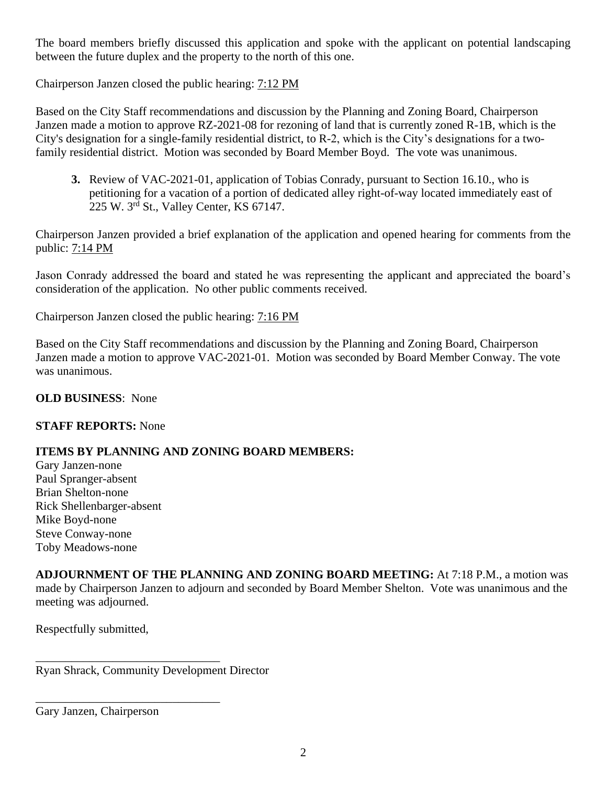The board members briefly discussed this application and spoke with the applicant on potential landscaping between the future duplex and the property to the north of this one.

Chairperson Janzen closed the public hearing: 7:12 PM

Based on the City Staff recommendations and discussion by the Planning and Zoning Board, Chairperson Janzen made a motion to approve RZ-2021-08 for rezoning of land that is currently zoned R-1B, which is the City's designation for a single-family residential district, to R-2, which is the City's designations for a twofamily residential district. Motion was seconded by Board Member Boyd. The vote was unanimous.

**3.** Review of VAC-2021-01, application of Tobias Conrady, pursuant to Section 16.10., who is petitioning for a vacation of a portion of dedicated alley right-of-way located immediately east of 225 W. 3rd St., Valley Center, KS 67147.

Chairperson Janzen provided a brief explanation of the application and opened hearing for comments from the public: 7:14 PM

Jason Conrady addressed the board and stated he was representing the applicant and appreciated the board's consideration of the application. No other public comments received.

Chairperson Janzen closed the public hearing: 7:16 PM

Based on the City Staff recommendations and discussion by the Planning and Zoning Board, Chairperson Janzen made a motion to approve VAC-2021-01. Motion was seconded by Board Member Conway. The vote was unanimous.

**OLD BUSINESS**: None

## **STAFF REPORTS:** None

## **ITEMS BY PLANNING AND ZONING BOARD MEMBERS:**

Gary Janzen-none Paul Spranger-absent Brian Shelton-none Rick Shellenbarger-absent Mike Boyd-none Steve Conway-none Toby Meadows-none

**ADJOURNMENT OF THE PLANNING AND ZONING BOARD MEETING:** At 7:18 P.M., a motion was made by Chairperson Janzen to adjourn and seconded by Board Member Shelton. Vote was unanimous and the meeting was adjourned.

Respectfully submitted,

Ryan Shrack, Community Development Director

\_\_\_\_\_\_\_\_\_\_\_\_\_\_\_\_\_\_\_\_\_\_\_\_\_\_\_\_\_\_\_

\_\_\_\_\_\_\_\_\_\_\_\_\_\_\_\_\_\_\_\_\_\_\_\_\_\_\_\_\_\_\_

Gary Janzen, Chairperson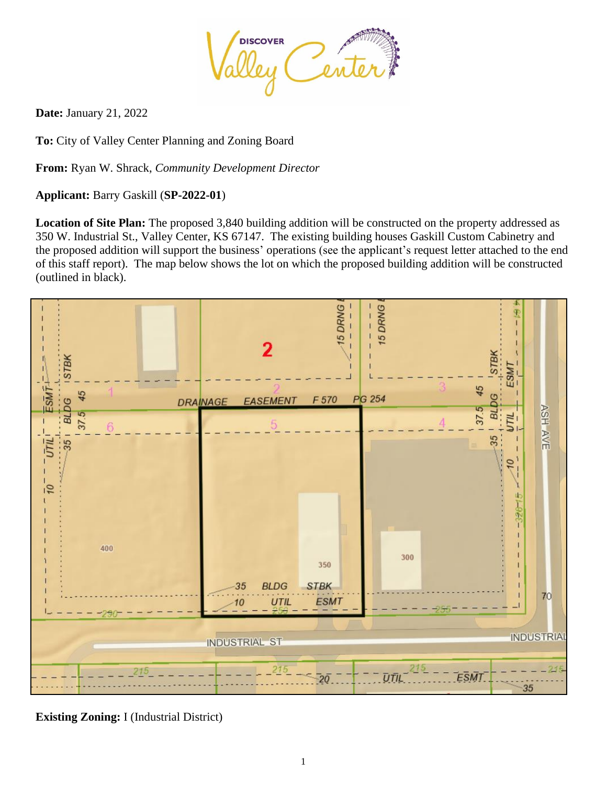

**Date:** January 21, 2022

**To:** City of Valley Center Planning and Zoning Board

**From:** Ryan W. Shrack, *Community Development Director*

## **Applicant:** Barry Gaskill (**SP-2022-01**)

**Location of Site Plan:** The proposed 3,840 building addition will be constructed on the property addressed as 350 W. Industrial St., Valley Center, KS 67147. The existing building houses Gaskill Custom Cabinetry and the proposed addition will support the business' operations (see the applicant's request letter attached to the end of this staff report). The map below shows the lot on which the proposed building addition will be constructed (outlined in black).



**Existing Zoning:** I (Industrial District)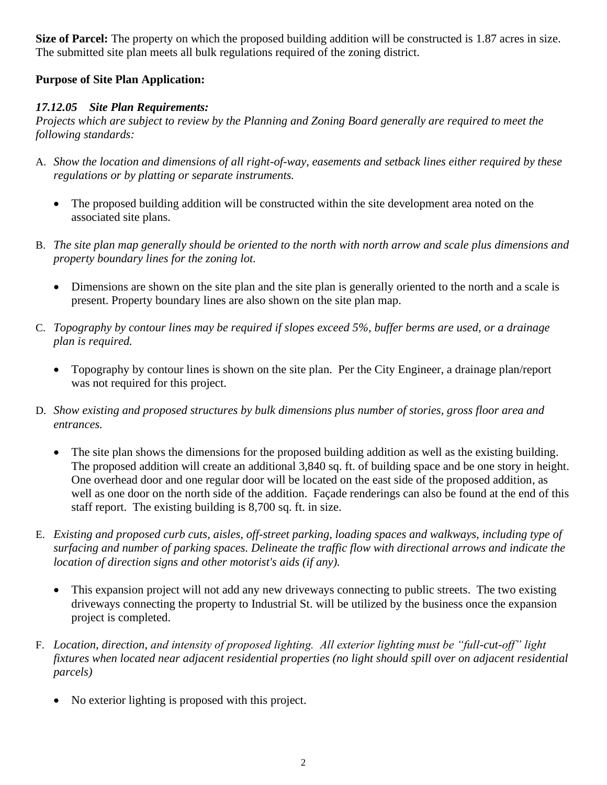**Size of Parcel:** The property on which the proposed building addition will be constructed is 1.87 acres in size. The submitted site plan meets all bulk regulations required of the zoning district.

## **Purpose of Site Plan Application:**

## *17.12.05 Site Plan Requirements:*

*Projects which are subject to review by the Planning and Zoning Board generally are required to meet the following standards:*

- A. *Show the location and dimensions of all right-of-way, easements and setback lines either required by these regulations or by platting or separate instruments.*
	- The proposed building addition will be constructed within the site development area noted on the associated site plans.
- B. *The site plan map generally should be oriented to the north with north arrow and scale plus dimensions and property boundary lines for the zoning lot.*
	- Dimensions are shown on the site plan and the site plan is generally oriented to the north and a scale is present. Property boundary lines are also shown on the site plan map.
- C. *Topography by contour lines may be required if slopes exceed 5%, buffer berms are used, or a drainage plan is required.*
	- Topography by contour lines is shown on the site plan. Per the City Engineer, a drainage plan/report was not required for this project.
- D. *Show existing and proposed structures by bulk dimensions plus number of stories, gross floor area and entrances.*
	- The site plan shows the dimensions for the proposed building addition as well as the existing building. The proposed addition will create an additional 3,840 sq. ft. of building space and be one story in height. One overhead door and one regular door will be located on the east side of the proposed addition, as well as one door on the north side of the addition. Façade renderings can also be found at the end of this staff report. The existing building is 8,700 sq. ft. in size.
- E. *Existing and proposed curb cuts, aisles, off-street parking, loading spaces and walkways, including type of surfacing and number of parking spaces. Delineate the traffic flow with directional arrows and indicate the location of direction signs and other motorist's aids (if any).*
	- This expansion project will not add any new driveways connecting to public streets. The two existing driveways connecting the property to Industrial St. will be utilized by the business once the expansion project is completed.
- F. *Location, direction, and intensity of proposed lighting. All exterior lighting must be "full-cut-off" light fixtures when located near adjacent residential properties (no light should spill over on adjacent residential parcels)*
	- No exterior lighting is proposed with this project.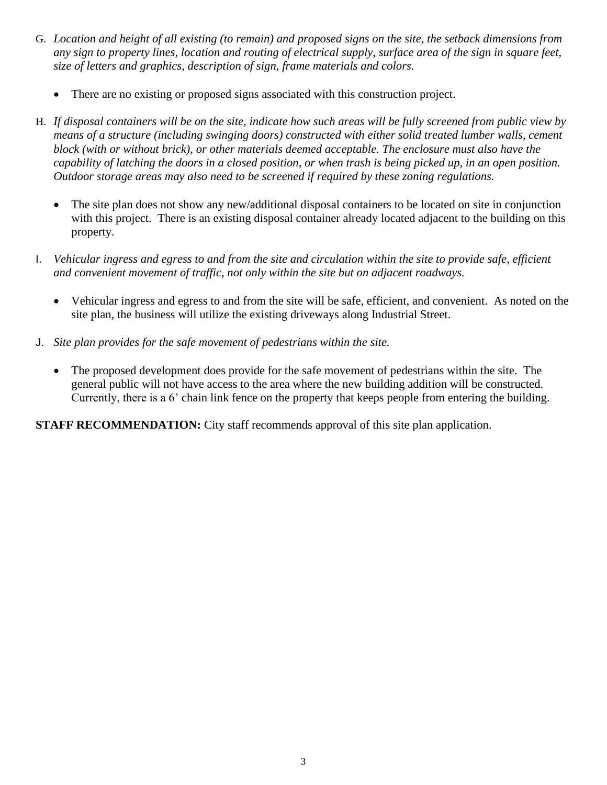- G. *Location and height of all existing (to remain) and proposed signs on the site, the setback dimensions from any sign to property lines, location and routing of electrical supply, surface area of the sign in square feet, size of letters and graphics, description of sign, frame materials and colors.*
	- There are no existing or proposed signs associated with this construction project.
- H. *If disposal containers will be on the site, indicate how such areas will be fully screened from public view by means of a structure (including swinging doors) constructed with either solid treated lumber walls, cement block (with or without brick), or other materials deemed acceptable. The enclosure must also have the capability of latching the doors in a closed position, or when trash is being picked up, in an open position. Outdoor storage areas may also need to be screened if required by these zoning regulations.*
	- The site plan does not show any new/additional disposal containers to be located on site in conjunction with this project. There is an existing disposal container already located adjacent to the building on this property.
- I. *Vehicular ingress and egress to and from the site and circulation within the site to provide safe, efficient and convenient movement of traffic, not only within the site but on adjacent roadways.*
	- Vehicular ingress and egress to and from the site will be safe, efficient, and convenient. As noted on the site plan, the business will utilize the existing driveways along Industrial Street.
- J. *Site plan provides for the safe movement of pedestrians within the site.*
	- The proposed development does provide for the safe movement of pedestrians within the site. The general public will not have access to the area where the new building addition will be constructed. Currently, there is a 6' chain link fence on the property that keeps people from entering the building.

**STAFF RECOMMENDATION:** City staff recommends approval of this site plan application.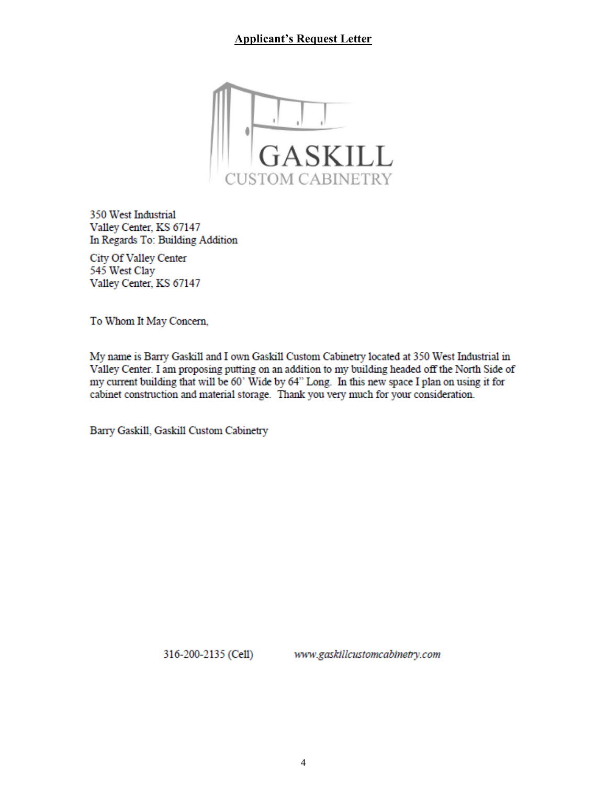## **Applicant's Request Letter**



350 West Industrial Valley Center, KS 67147 In Regards To: Building Addition

City Of Valley Center 545 West Clay Valley Center, KS 67147

To Whom It May Concern,

My name is Barry Gaskill and I own Gaskill Custom Cabinetry located at 350 West Industrial in Valley Center. I am proposing putting on an addition to my building headed off the North Side of my current building that will be 60' Wide by 64" Long. In this new space I plan on using it for cabinet construction and material storage. Thank you very much for your consideration.

Barry Gaskill, Gaskill Custom Cabinetry

316-200-2135 (Cell)

www.gaskillcustomcabinetry.com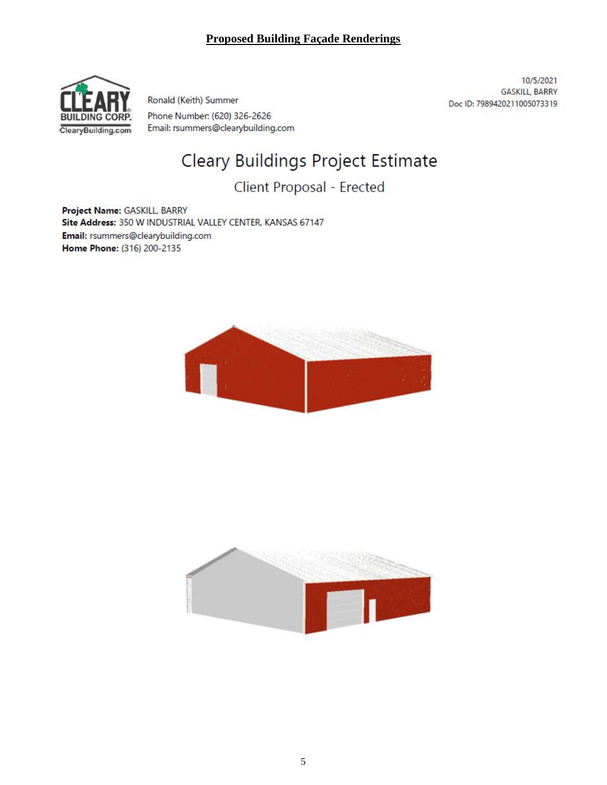## **Proposed Building Façade Renderings**



Ronald (Keith) Summer Phone Number: (620) 326-2626 Email: rsummers@clearybuilding.com

10/5/2021 **GASKILL, BARRY** Doc ID: 7989420211005073319

# Cleary Buildings Project Estimate

## Client Proposal - Erected

Project Name: GASKILL, BARRY Site Address: 350 W INDUSTRIAL VALLEY CENTER, KANSAS 67147 Email: rsummers@clearybuilding.com Home Phone: (316) 200-2135



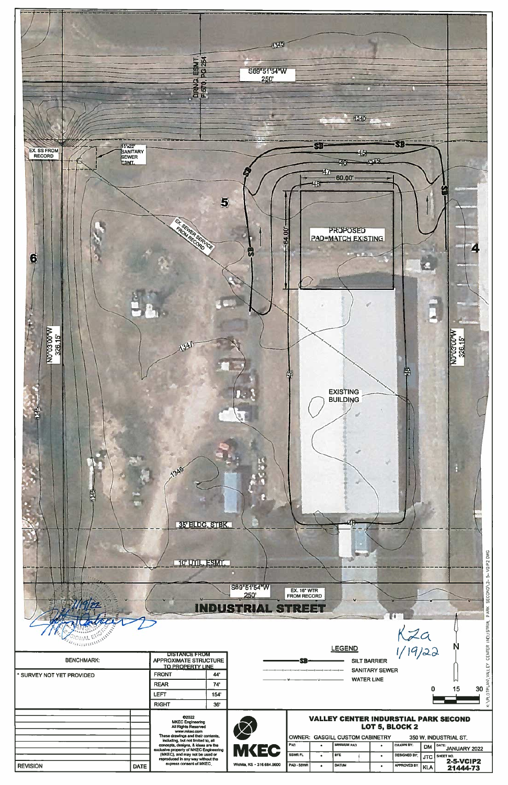

| $\sim$<br>S89"51"54"W<br>SECOND<br><b>EX. 16" WTR</b><br>250<br><b>FROM RECORD</b><br><b>INDUSTRIAL STREET</b><br>PARK |             |                                                                                     |      |                            |                                                                  |           |                     |           |                     |            |                                   |  |
|------------------------------------------------------------------------------------------------------------------------|-------------|-------------------------------------------------------------------------------------|------|----------------------------|------------------------------------------------------------------|-----------|---------------------|-----------|---------------------|------------|-----------------------------------|--|
|                                                                                                                        |             |                                                                                     |      |                            |                                                                  |           | <b>LEGEND</b>       |           | $\frac{1}{2}$       |            | CENTER INDUSTRIAL<br>N            |  |
| <b>BENCHMARK:</b>                                                                                                      |             | DISTANCE EROM<br><b>APPROXIMATE STRUCTURE</b><br><b>TO PROPERTY LINE</b>            |      |                            |                                                                  |           | <b>SILT BARRIER</b> |           |                     |            |                                   |  |
| * SURVEY NOT YET PROVIDED                                                                                              |             | <b>FRONT</b>                                                                        | 44'  |                            | VALLEY<br><b>SANITARY SEWER</b><br><b>WATER LINE</b><br>30<br>15 |           |                     |           |                     |            |                                   |  |
|                                                                                                                        |             | <b>REAR</b>                                                                         | 74'  |                            |                                                                  |           |                     |           |                     |            |                                   |  |
|                                                                                                                        |             | LEFT                                                                                | 154' |                            |                                                                  |           |                     |           |                     |            |                                   |  |
|                                                                                                                        |             | <b>RIGHT</b>                                                                        | 36'  |                            |                                                                  |           |                     |           |                     |            |                                   |  |
|                                                                                                                        |             | C <sub>2022</sub><br><b>MKEC Engineering</b><br>All Rights Reserved<br>www.mkec.com |      |                            | <b>VALLEY CENTER INDURSTIAL PARK SECOND</b><br>LOT 5, BLOCK 2    |           |                     |           |                     |            |                                   |  |
|                                                                                                                        |             | These drawings and their contents.<br>including, but not limited to, all            |      |                            | <b>OWNER: GASGILL CUSTOM CABINETRY</b><br>350 W. INDUSTRIAL ST.  |           |                     |           |                     |            |                                   |  |
|                                                                                                                        |             | concepts, designs, & ideas are the<br>exclusive property of MKEC Engineering        |      | <b>MKEC</b>                | PAD                                                              | $\bullet$ | <b>MINIMUM PAD</b>  | $\bullet$ | DRAWN BY:           | <b>DM</b>  | <b>DATE:</b><br>JANUARY 2022      |  |
|                                                                                                                        |             | (MKEC), and may not be used or<br>reproduced in any way without the                 |      |                            | SSWR FL                                                          | $\bullet$ | <b>BFE</b>          | $\bullet$ | <b>DESIGNED BY:</b> |            | JTC SHEET NO.<br><b>2-5-VCIP2</b> |  |
| <b>REVISION</b>                                                                                                        | <b>DATE</b> | express consent of MKEC.                                                            |      | Wichita, KS · 316.684.9600 | PAD - SSWR                                                       | $\bullet$ | DATUM               | $\bullet$ | APPROVED BY:        | <b>KLA</b> | 21444-73                          |  |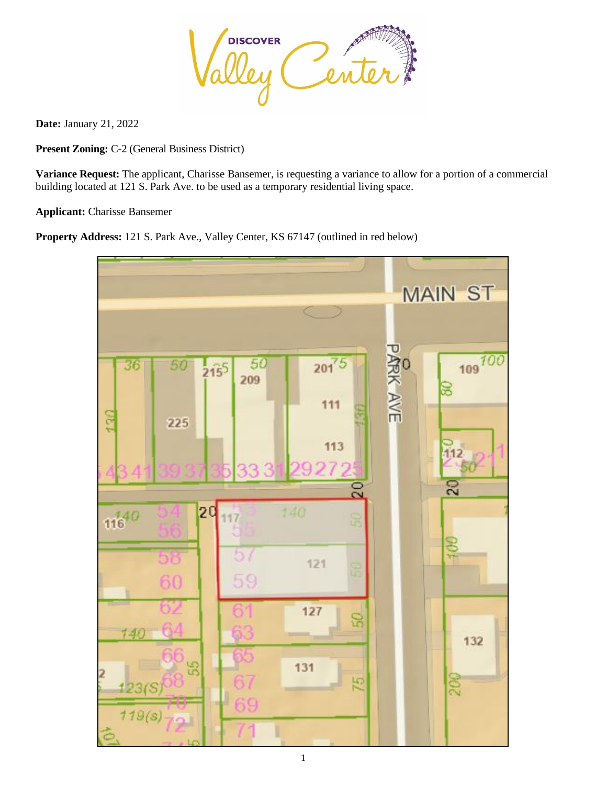

**Date:** January 21, 2022

**Present Zoning:** C-2 (General Business District)

**Variance Request:** The applicant, Charisse Bansemer, is requesting a variance to allow for a portion of a commercial building located at 121 S. Park Ave. to be used as a temporary residential living space.

**Applicant:** Charisse Bansemer

**Property Address:** 121 S. Park Ave., Valley Center, KS 67147 (outlined in red below)

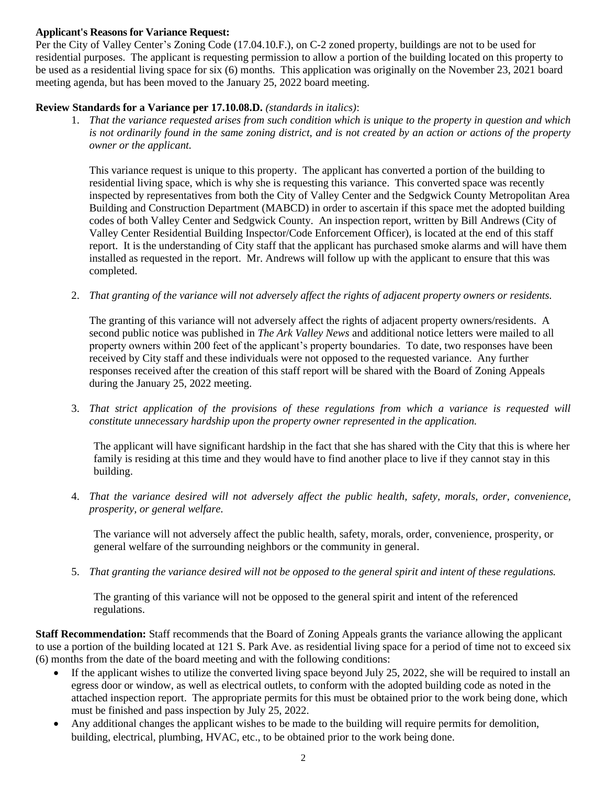#### **Applicant's Reasons for Variance Request:**

Per the City of Valley Center's Zoning Code (17.04.10.F.), on C-2 zoned property, buildings are not to be used for residential purposes. The applicant is requesting permission to allow a portion of the building located on this property to be used as a residential living space for six (6) months. This application was originally on the November 23, 2021 board meeting agenda, but has been moved to the January 25, 2022 board meeting.

#### **Review Standards for a Variance per 17.10.08.D.** *(standards in italics)*:

1. *That the variance requested arises from such condition which is unique to the property in question and which is not ordinarily found in the same zoning district, and is not created by an action or actions of the property owner or the applicant.*

This variance request is unique to this property. The applicant has converted a portion of the building to residential living space, which is why she is requesting this variance. This converted space was recently inspected by representatives from both the City of Valley Center and the Sedgwick County Metropolitan Area Building and Construction Department (MABCD) in order to ascertain if this space met the adopted building codes of both Valley Center and Sedgwick County. An inspection report, written by Bill Andrews (City of Valley Center Residential Building Inspector/Code Enforcement Officer), is located at the end of this staff report. It is the understanding of City staff that the applicant has purchased smoke alarms and will have them installed as requested in the report. Mr. Andrews will follow up with the applicant to ensure that this was completed.

2. *That granting of the variance will not adversely affect the rights of adjacent property owners or residents.*

The granting of this variance will not adversely affect the rights of adjacent property owners/residents. A second public notice was published in *The Ark Valley News* and additional notice letters were mailed to all property owners within 200 feet of the applicant's property boundaries. To date, two responses have been received by City staff and these individuals were not opposed to the requested variance. Any further responses received after the creation of this staff report will be shared with the Board of Zoning Appeals during the January 25, 2022 meeting.

3. *That strict application of the provisions of these regulations from which a variance is requested will constitute unnecessary hardship upon the property owner represented in the application.*

The applicant will have significant hardship in the fact that she has shared with the City that this is where her family is residing at this time and they would have to find another place to live if they cannot stay in this building.

4. *That the variance desired will not adversely affect the public health, safety, morals, order, convenience, prosperity, or general welfare.*

The variance will not adversely affect the public health, safety, morals, order, convenience, prosperity, or general welfare of the surrounding neighbors or the community in general.

5. *That granting the variance desired will not be opposed to the general spirit and intent of these regulations.*

The granting of this variance will not be opposed to the general spirit and intent of the referenced regulations.

**Staff Recommendation:** Staff recommends that the Board of Zoning Appeals grants the variance allowing the applicant to use a portion of the building located at 121 S. Park Ave. as residential living space for a period of time not to exceed six (6) months from the date of the board meeting and with the following conditions:

- If the applicant wishes to utilize the converted living space beyond July 25, 2022, she will be required to install an egress door or window, as well as electrical outlets, to conform with the adopted building code as noted in the attached inspection report. The appropriate permits for this must be obtained prior to the work being done, which must be finished and pass inspection by July 25, 2022.
- Any additional changes the applicant wishes to be made to the building will require permits for demolition, building, electrical, plumbing, HVAC, etc., to be obtained prior to the work being done.